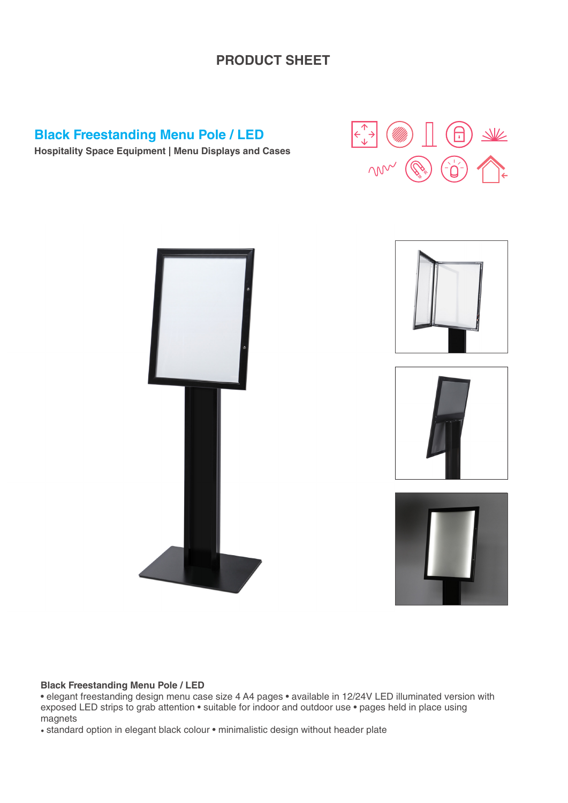#### **PRODUCT SHEET**

#### **Black Freestanding Menu Pole / LED**

 $\underline{\mathbb{W}}$ ΛN



**Hospitality Space Equipment | Menu Displays and Cases**

#### **Black Freestanding Menu Pole / LED**

• elegant freestanding design menu case size 4 A4 pages • available in 12/24V LED illuminated version with exposed LED strips to grab attention • suitable for indoor and outdoor use • pages held in place using magnets

• standard option in elegant black colour • minimalistic design without header plate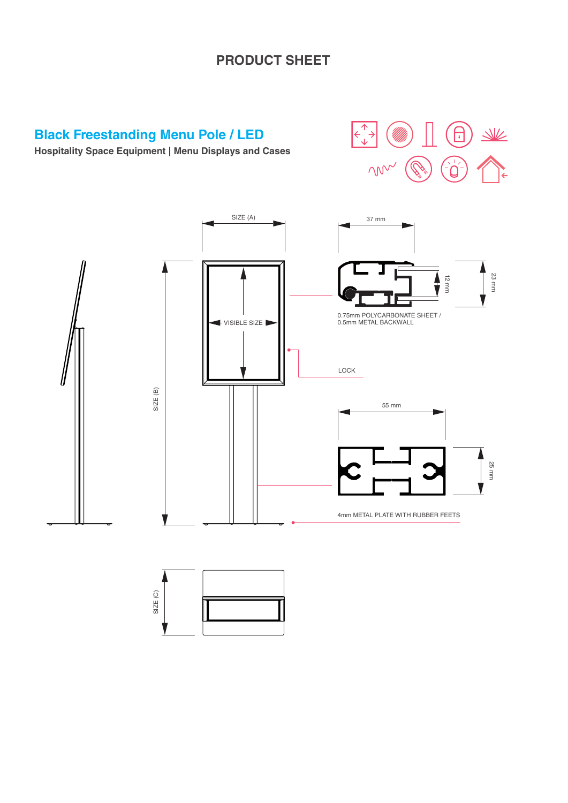## **PRODUCT SHEET**

# **Black Freestanding Menu Pole / LED**

**Hospitality Space Equipment | Menu Displays and Cases**